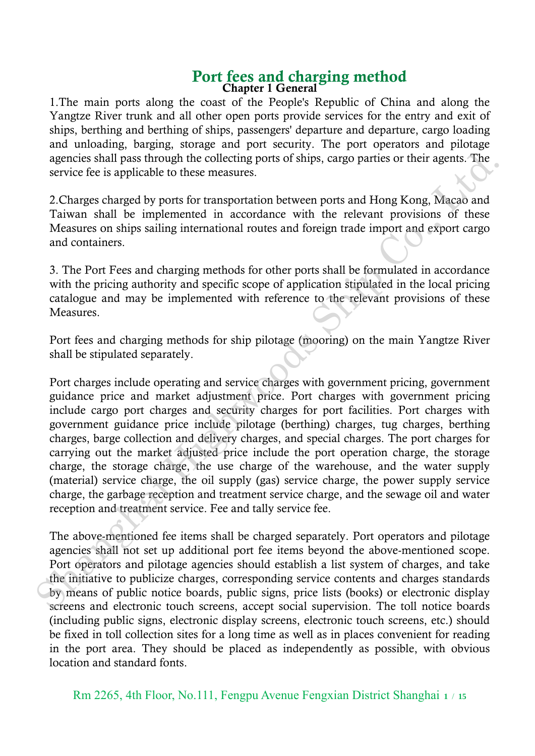#### Port fees and charging method Chapter 1 General

1.The main ports along the coast of the People's Republic of China and along the Yangtze River trunk and all other open ports provide services for the entry and exit of ships, berthing and berthing of ships, passengers' departure and departure, cargo loading and unloading, barging, storage and port security. The port operators and pilotage agencies shall pass through the collecting ports of ships, cargo parties or their agents. The service fee is applicable to these measures.

2.Charges charged by ports for transportation between ports and Hong Kong, Macao and Taiwan shall be implemented in accordance with the relevant provisions of these Measures on ships sailing international routes and foreign trade import and export cargo and containers.

3. The Port Fees and charging methods for other ports shall be formulated in accordance with the pricing authority and specific scope of application stipulated in the local pricing catalogue and may be implemented with reference to the relevant provisions of these Measures.

Port fees and charging methods for ship pilotage (mooring) on the main Yangtze River shall be stipulated separately.

Port charges include operating and service charges with government pricing, government guidance price and market adjustment price. Port charges with government pricing include cargo port charges and security charges for port facilities. Port charges with government guidance price include pilotage (berthing) charges, tug charges, berthing charges, barge collection and delivery charges, and special charges. The port charges for carrying out the market adjusted price include the port operation charge, the storage charge, the storage charge, the use charge of the warehouse, and the water supply (material) service charge, the oil supply (gas) service charge, the power supply service charge, the garbage reception and treatment service charge, and the sewage oil and water reception and treatment service. Fee and tally service fee. agencies shall pass through the collecting ports of ships, cargo parties or their agents. The<br>service fec is applicable to these measures.<br>
Tcharges charged by ports for transportation between ports and Hong Kong, Macao an

The above-mentioned fee items shall be charged separately. Port operators and pilotage agencies shall not set up additional port fee items beyond the above-mentioned scope. Port operators and pilotage agencies should establish a list system of charges, and take the initiative to publicize charges, corresponding service contents and charges standards by means of public notice boards, public signs, price lists (books) or electronic display screens and electronic touch screens, accept social supervision. The toll notice boards (including public signs, electronic display screens, electronic touch screens, etc.) should be fixed in toll collection sites for a long time as well as in places convenient for reading in the port area. They should be placed as independently as possible, with obvious location and standard fonts.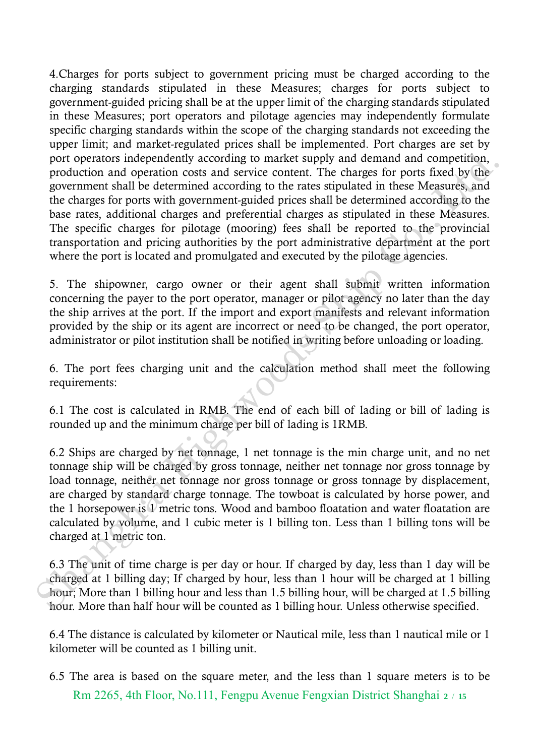4.Charges for ports subject to government pricing must be charged according to the charging standards stipulated in these Measures; charges for ports subject to government-guided pricing shall be at the upper limit of the charging standards stipulated in these Measures; port operators and pilotage agencies may independently formulate specific charging standards within the scope of the charging standards not exceeding the upper limit; and market-regulated prices shall be implemented. Port charges are set by port operators independently according to market supply and demand and competition, production and operation costs and service content. The charges for ports fixed by the government shall be determined according to the rates stipulated in these Measures, and the charges for ports with government-guided prices shall be determined according to the base rates, additional charges and preferential charges as stipulated in these Measures. The specific charges for pilotage (mooring) fees shall be reported to the provincial transportation and pricing authorities by the port administrative department at the port where the port is located and promulgated and executed by the pilotage agencies. port operators independently according to market supply and denead and competition,<br>more production and operation costs and service content. The charges for ports fixed by the<br>government shall be determined according to th

5. The shipowner, cargo owner or their agent shall submit written information concerning the payer to the port operator, manager or pilot agency no later than the day the ship arrives at the port. If the import and export manifests and relevant information provided by the ship or its agent are incorrect or need to be changed, the port operator, administrator or pilot institution shall be notified in writing before unloading or loading.

6. The port fees charging unit and the calculation method shall meet the following requirements:

6.1 The cost is calculated in RMB. The end of each bill of lading or bill of lading is rounded up and the minimum charge per bill of lading is 1RMB.

6.2 Ships are charged by net tonnage, 1 net tonnage is the min charge unit, and no net tonnage ship will be charged by gross tonnage, neither net tonnage nor gross tonnage by load tonnage, neither net tonnage nor gross tonnage or gross tonnage by displacement, are charged by standard charge tonnage. The towboat is calculated by horse power, and the 1 horsepower is 1 metric tons. Wood and bamboo floatation and water floatation are calculated by volume, and 1 cubic meter is 1 billing ton. Less than 1 billing tons will be charged at 1 metric ton.

6.3 The unit of time charge is per day or hour. If charged by day, less than 1 day will be charged at 1 billing day; If charged by hour, less than 1 hour will be charged at 1 billing hour; More than 1 billing hour and less than 1.5 billing hour, will be charged at 1.5 billing hour. More than half hour will be counted as 1 billing hour. Unless otherwise specified.

6.4 The distance is calculated by kilometer or Nautical mile, less than 1 nautical mile or 1 kilometer will be counted as 1 billing unit.

Rm 2265, 4th Floor, No.111, Fengpu Avenue Fengxian District Shanghai **<sup>2</sup>** / **<sup>15</sup>** 6.5 The area is based on the square meter, and the less than 1 square meters is to be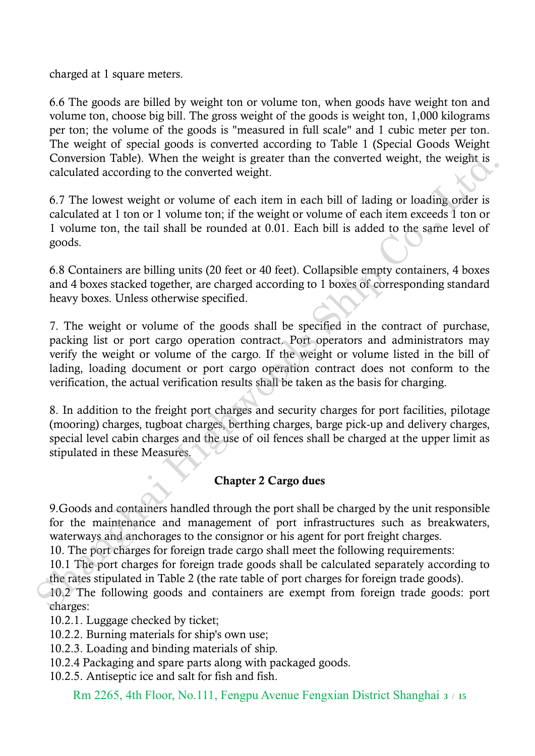charged at 1 square meters.

6.6 The goods are billed by weight ton or volume ton, when goods have weight ton and volume ton, choose big bill. The gross weight of the goods is weight ton, 1,000 kilograms per ton; the volume of the goods is "measured in full scale" and 1 cubic meter per ton. The weight of special goods is converted according to Table 1 (Special Goods Weight Conversion Table). When the weight is greater than the converted weight, the weight is calculated according to the converted weight.

6.7 The lowest weight or volume of each item in each bill of lading or loading order is calculated at 1 ton or 1 volume ton; if the weight or volume of each item exceeds 1 ton or 1 volume ton, the tail shall be rounded at 0.01. Each bill is added to the same level of goods.

6.8 Containers are billing units (20 feet or 40 feet). Collapsible empty containers, 4 boxes and 4 boxes stacked together, are charged according to 1 boxes of corresponding standard heavy boxes. Unless otherwise specified.

7. The weight or volume of the goods shall be specified in the contract of purchase, packing list or port cargo operation contract. Port operators and administrators may verify the weight or volume of the cargo. If the weight or volume listed in the bill of lading, loading document or port cargo operation contract does not conform to the verification, the actual verification results shall be taken as the basis for charging. Conversion Table). When the weight is greater than the converted weight, the weight is<br>calculated according to the converted weight.<br>
So The lowest weight or volume of each item in each bill of lading or loading order is<br>

8. In addition to the freight port charges and security charges for port facilities, pilotage (mooring) charges, tugboat charges, berthing charges, barge pick-up and delivery charges, special level cabin charges and the use of oil fences shall be charged at the upper limit as stipulated in these Measures.

#### Chapter 2 Cargo dues

9.Goods and containers handled through the port shall be charged by the unit responsible for the maintenance and management of port infrastructures such as breakwaters, waterways and anchorages to the consignor or his agent for port freight charges.

10. The port charges for foreign trade cargo shall meet the following requirements:

10.1 The port charges for foreign trade goods shall be calculated separately according to the rates stipulated in Table 2 (the rate table of port charges for foreign trade goods).

10.2 The following goods and containers are exempt from foreign trade goods: port charges:

10.2.1. Luggage checked by ticket;

10.2.2. Burning materials for ship's own use;

10.2.3. Loading and binding materials of ship.

10.2.4 Packaging and spare parts along with packaged goods.

10.2.5. Antiseptic ice and salt for fish and fish.

Rm 2265, 4th Floor, No.111, Fengpu Avenue Fengxian District Shanghai **<sup>3</sup>** / **<sup>15</sup>**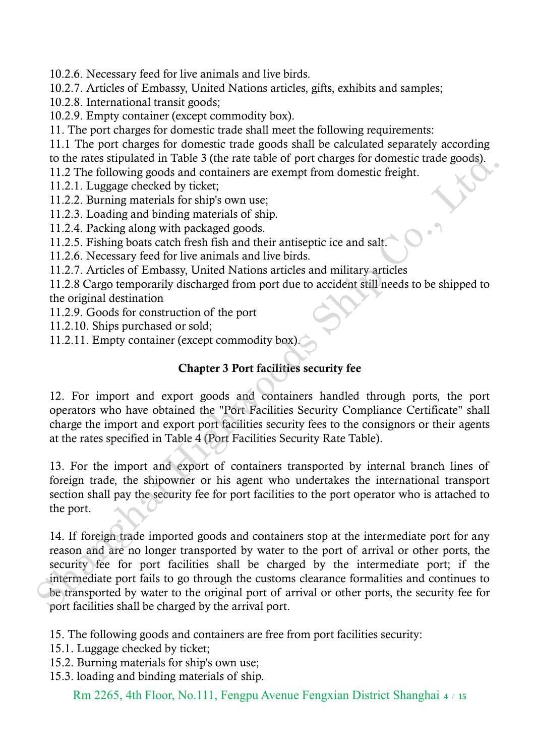10.2.6. Necessary feed for live animals and live birds.

10.2.7. Articles of Embassy, United Nations articles, gifts, exhibits and samples;

- 10.2.8. International transit goods;
- 10.2.9. Empty container (except commodity box).

11. The port charges for domestic trade shall meet the following requirements:

11.1 The port charges for domestic trade goods shall be calculated separately according to the rates stipulated in Table 3 (the rate table of port charges for domestic trade goods).

11.2 The following goods and containers are exempt from domestic freight.

11.2.1. Luggage checked by ticket;

- 11.2.2. Burning materials for ship's own use;
- 11.2.3. Loading and binding materials of ship.
- 11.2.4. Packing along with packaged goods.
- 11.2.5. Fishing boats catch fresh fish and their antiseptic ice and salt.

11.2.6. Necessary feed for live animals and live birds.

11.2.7. Articles of Embassy, United Nations articles and military articles

11.2.8 Cargo temporarily discharged from port due to accident still needs to be shipped to the original destination

11.2.9. Goods for construction of the port

- 11.2.10. Ships purchased or sold;
- 11.2.11. Empty container (except commodity box).

# Chapter 3 Port facilities security fee

12. For import and export goods and containers handled through ports, the port operators who have obtained the "Port Facilities Security Compliance Certificate" shall charge the import and export port facilities security fees to the consignors or their agents at the rates specified in Table 4 (Port Facilities Security Rate Table).

13. For the import and export of containers transported by internal branch lines of foreign trade, the shipowner or his agent who undertakes the international transport section shall pay the security fee for port facilities to the port operator who is attached to the port.

14. If foreign trade imported goods and containers stop at the intermediate port for any reason and are no longer transported by water to the port of arrival or other ports, the security fee for port facilities shall be charged by the intermediate port; if the intermediate port fails to go through the customs clearance formalities and continues to be transported by water to the original port of arrival or other ports, the security fee for port facilities shall be charged by the arrival port. to the rates stipulated in Table 3 (the rate table of port charges for domestic trade goods).<br>
11.2.7L. Luggage checked by ticket;<br>
11.2.2. Burning materials for ships own use:<br>
11.2.3. Burning materials for ships own use:

15. The following goods and containers are free from port facilities security:

- 15.1. Luggage checked by ticket;
- 15.2. Burning materials for ship's own use;
- 15.3. loading and binding materials of ship.

Rm 2265, 4th Floor, No.111, Fengpu Avenue Fengxian District Shanghai **<sup>4</sup>** / **<sup>15</sup>**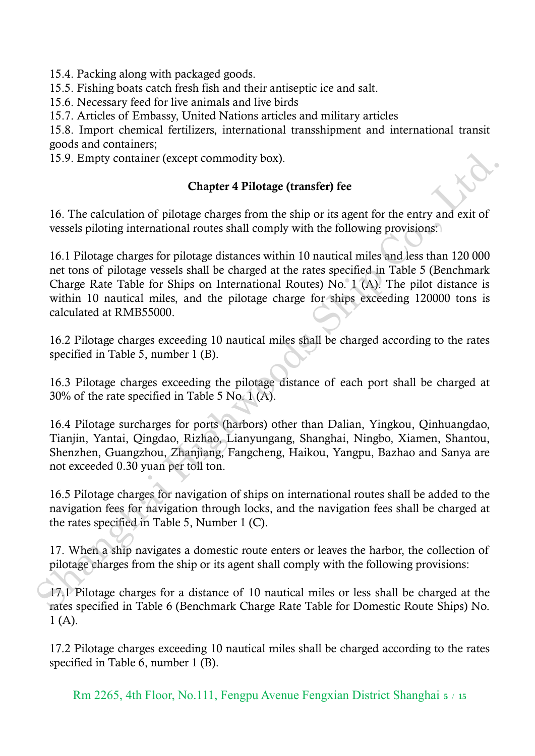15.4. Packing along with packaged goods.

15.5. Fishing boats catch fresh fish and their antiseptic ice and salt.

15.6. Necessary feed for live animals and live birds

15.7. Articles of Embassy, United Nations articles and military articles

15.8. Import chemical fertilizers, international transshipment and international transit goods and containers;

15.9. Empty container (except commodity box).

### Chapter 4 Pilotage (transfer) fee

16. The calculation of pilotage charges from the ship or its agent for the entry and exit of vessels piloting international routes shall comply with the following provisions:

16.1 Pilotage charges for pilotage distances within 10 nautical miles and less than 120 000 net tons of pilotage vessels shall be charged at the rates specified in Table 5 (Benchmark Charge Rate Table for Ships on International Routes) No. 1 (A). The pilot distance is within 10 nautical miles, and the pilotage charge for ships exceeding 120000 tons is calculated at RMB55000. 15.9. Empty container (except commodity box).<br> **Chapter 4 Pilotage (transfer) fee**<br>
16. The calculation of pilotage charges from the ship or its agent for the entry and exit of<br>
versels piloting international routes shall

16.2 Pilotage charges exceeding 10 nautical miles shall be charged according to the rates specified in Table 5, number 1 (B).

16.3 Pilotage charges exceeding the pilotage distance of each port shall be charged at 30% of the rate specified in Table 5 No. 1 (A).

16.4 Pilotage surcharges for ports (harbors) other than Dalian, Yingkou, Qinhuangdao, Tianjin, Yantai, Qingdao, Rizhao, Lianyungang, Shanghai, Ningbo, Xiamen, Shantou, Shenzhen, Guangzhou, Zhanjiang, Fangcheng, Haikou, Yangpu, Bazhao and Sanya are not exceeded 0.30 yuan per toll ton.

16.5 Pilotage charges for navigation of ships on international routes shall be added to the navigation fees for navigation through locks, and the navigation fees shall be charged at the rates specified in Table 5, Number 1 (C).

17. When a ship navigates a domestic route enters or leaves the harbor, the collection of pilotage charges from the ship or its agent shall comply with the following provisions:

17.1 Pilotage charges for a distance of 10 nautical miles or less shall be charged at the rates specified in Table 6 (Benchmark Charge Rate Table for Domestic Route Ships) No.  $1(A)$ .

17.2 Pilotage charges exceeding 10 nautical miles shall be charged according to the rates specified in Table 6, number 1 (B).

Rm 2265, 4th Floor, No.111, Fengpu Avenue Fengxian District Shanghai **<sup>5</sup>** / **<sup>15</sup>**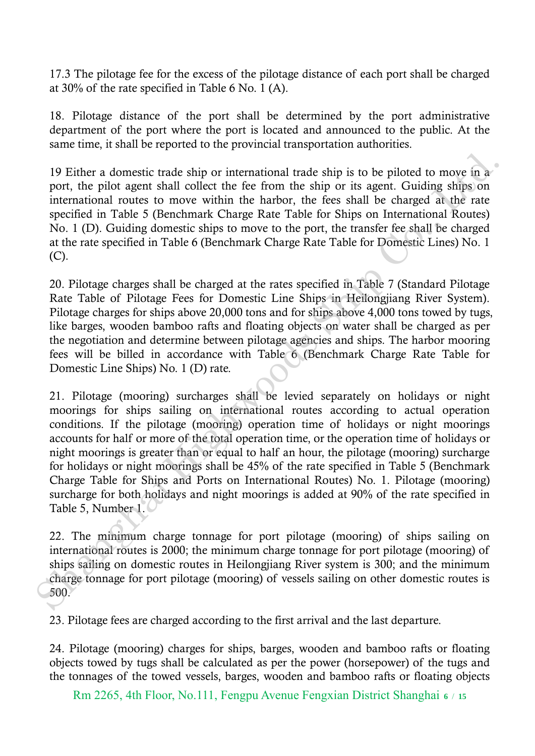17.3 The pilotage fee for the excess of the pilotage distance of each port shall be charged at 30% of the rate specified in Table 6 No. 1 (A).

18. Pilotage distance of the port shall be determined by the port administrative department of the port where the port is located and announced to the public. At the same time, it shall be reported to the provincial transportation authorities.

19 Either a domestic trade ship or international trade ship is to be piloted to move in a port, the pilot agent shall collect the fee from the ship or its agent. Guiding ships on international routes to move within the harbor, the fees shall be charged at the rate specified in Table 5 (Benchmark Charge Rate Table for Ships on International Routes) No. 1 (D). Guiding domestic ships to move to the port, the transfer fee shall be charged at the rate specified in Table 6 (Benchmark Charge Rate Table for Domestic Lines) No. 1 (C).

20. Pilotage charges shall be charged at the rates specified in Table 7 (Standard Pilotage Rate Table of Pilotage Fees for Domestic Line Ships in Heilongjiang River System). Pilotage charges for ships above 20,000 tons and for ships above 4,000 tons towed by tugs, like barges, wooden bamboo rafts and floating objects on water shall be charged as per the negotiation and determine between pilotage agencies and ships. The harbor mooring fees will be billed in accordance with Table 6 (Benchmark Charge Rate Table for Domestic Line Ships) No. 1 (D) rate.

21. Pilotage (mooring) surcharges shall be levied separately on holidays or night moorings for ships sailing on international routes according to actual operation conditions. If the pilotage (mooring) operation time of holidays or night moorings accounts for half or more of the total operation time, or the operation time of holidays or night moorings is greater than or equal to half an hour, the pilotage (mooring) surcharge for holidays or night moorings shall be 45% of the rate specified in Table 5 (Benchmark Charge Table for Ships and Ports on International Routes) No. 1. Pilotage (mooring) surcharge for both holidays and night moorings is added at 90% of the rate specified in Table 5, Number 1. 19 Either a domestic trade ship or international trade ship is to be piloted to move in a port, the pilot agent shall collect the fee from the ship or its agent. Guiding ships on international routes to move whithin the h

22. The minimum charge tonnage for port pilotage (mooring) of ships sailing on international routes is 2000; the minimum charge tonnage for port pilotage (mooring) of ships sailing on domestic routes in Heilongjiang River system is 300; and the minimum charge tonnage for port pilotage (mooring) of vessels sailing on other domestic routes is 500.

23. Pilotage fees are charged according to the first arrival and the last departure.

24. Pilotage (mooring) charges for ships, barges, wooden and bamboo rafts or floating objects towed by tugs shall be calculated as per the power (horsepower) of the tugs and the tonnages of the towed vessels, barges, wooden and bamboo rafts or floating objects

Rm 2265, 4th Floor, No.111, Fengpu Avenue Fengxian District Shanghai **<sup>6</sup>** / **<sup>15</sup>**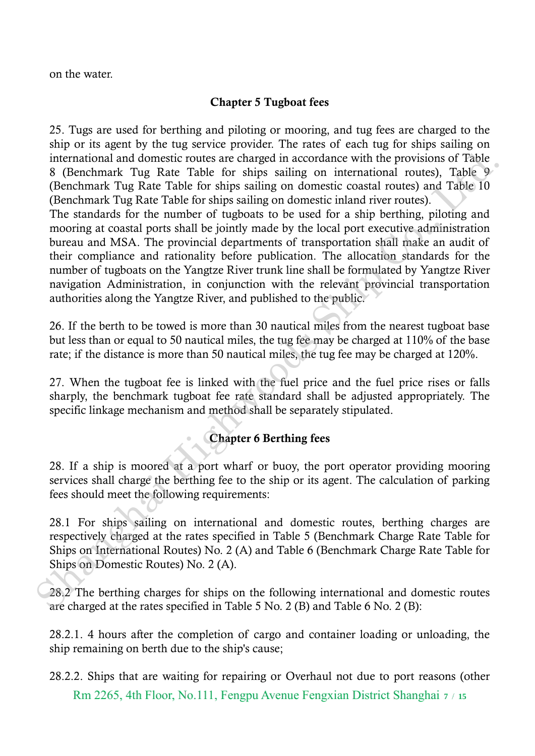on the water.

### Chapter 5 Tugboat fees

25. Tugs are used for berthing and piloting or mooring, and tug fees are charged to the ship or its agent by the tug service provider. The rates of each tug for ships sailing on international and domestic routes are charged in accordance with the provisions of Table 8 (Benchmark Tug Rate Table for ships sailing on international routes), Table 9 (Benchmark Tug Rate Table for ships sailing on domestic coastal routes) and Table 10 (Benchmark Tug Rate Table for ships sailing on domestic inland river routes).

The standards for the number of tugboats to be used for a ship berthing, piloting and mooring at coastal ports shall be jointly made by the local port executive administration bureau and MSA. The provincial departments of transportation shall make an audit of their compliance and rationality before publication. The allocation standards for the number of tugboats on the Yangtze River trunk line shall be formulated by Yangtze River navigation Administration, in conjunction with the relevant provincial transportation authorities along the Yangtze River, and published to the public. international and domestic routes are charged in accordance with the provisions of Table Tag. (Benchmark Tug Rate Table for ships sailing on international routes) and Table 10<br>
(Benchmark Tug Rate Table for ships sailing

26. If the berth to be towed is more than 30 nautical miles from the nearest tugboat base but less than or equal to 50 nautical miles, the tug fee may be charged at 110% of the base rate; if the distance is more than 50 nautical miles, the tug fee may be charged at 120%.

27. When the tugboat fee is linked with the fuel price and the fuel price rises or falls sharply, the benchmark tugboat fee rate standard shall be adjusted appropriately. The specific linkage mechanism and method shall be separately stipulated.

## Chapter 6 Berthing fees

28. If a ship is moored at a port wharf or buoy, the port operator providing mooring services shall charge the berthing fee to the ship or its agent. The calculation of parking fees should meet the following requirements:

28.1 For ships sailing on international and domestic routes, berthing charges are respectively charged at the rates specified in Table 5 (Benchmark Charge Rate Table for Ships on International Routes) No. 2 (A) and Table 6 (Benchmark Charge Rate Table for Ships on Domestic Routes) No. 2 (A).

28.2 The berthing charges for ships on the following international and domestic routes are charged at the rates specified in Table 5 No. 2 (B) and Table 6 No. 2 (B):

28.2.1. 4 hours after the completion of cargo and container loading or unloading, the ship remaining on berth due to the ship's cause;

Rm 2265, 4th Floor, No.111, Fengpu Avenue Fengxian District Shanghai **<sup>7</sup>** / **<sup>15</sup>** 28.2.2. Ships that are waiting for repairing or Overhaul not due to port reasons (other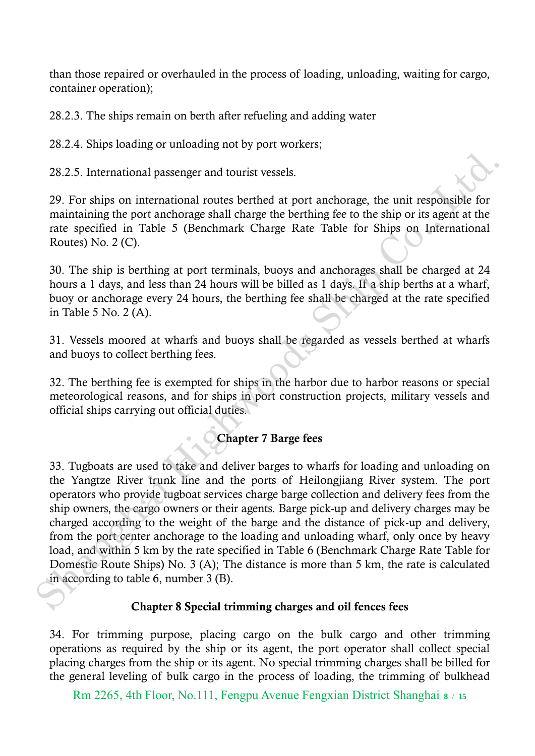than those repaired or overhauled in the process of loading, unloading, waiting for cargo, container operation);

28.2.3. The ships remain on berth after refueling and adding water

28.2.4. Ships loading or unloading not by port workers;

28.2.5. International passenger and tourist vessels.

29. For ships on international routes berthed at port anchorage, the unit responsible for maintaining the port anchorage shall charge the berthing fee to the ship or its agent at the rate specified in Table 5 (Benchmark Charge Rate Table for Ships on International Routes) No. 2 (C).

30. The ship is berthing at port terminals, buoys and anchorages shall be charged at 24 hours a 1 days, and less than 24 hours will be billed as 1 days. If a ship berths at a wharf, buoy or anchorage every 24 hours, the berthing fee shall be charged at the rate specified in Table 5 No. 2 (A).

31. Vessels moored at wharfs and buoys shall be regarded as vessels berthed at wharfs and buoys to collect berthing fees.

32. The berthing fee is exempted for ships in the harbor due to harbor reasons or special meteorological reasons, and for ships in port construction projects, military vessels and official ships carrying out official duties.

## Chapter 7 Barge fees

33. Tugboats are used to take and deliver barges to wharfs for loading and unloading on the Yangtze River trunk line and the ports of Heilongjiang River system. The port operators who provide tugboat services charge barge collection and delivery fees from the ship owners, the cargo owners or their agents. Barge pick-up and delivery charges may be charged according to the weight of the barge and the distance of pick-up and delivery, from the port center anchorage to the loading and unloading wharf, only once by heavy load, and within 5 km by the rate specified in Table 6 (Benchmark Charge Rate Table for Domestic Route Ships) No. 3 (A); The distance is more than 5 km, the rate is calculated in according to table 6, number 3 (B). 28.2.5. International passenger and tourist vessels.<br>
29. For ships on international routes berthed at port anchorage, the unit responsible for<br>
maintaining the port anchorage shall charge Rate Table for Ships on Internat

#### Chapter 8 Special trimming charges and oil fences fees

34. For trimming purpose, placing cargo on the bulk cargo and other trimming operations as required by the ship or its agent, the port operator shall collect special placing charges from the ship or its agent. No special trimming charges shall be billed for the general leveling of bulk cargo in the process of loading, the trimming of bulkhead

Rm 2265, 4th Floor, No.111, Fengpu Avenue Fengxian District Shanghai **<sup>8</sup>** / **<sup>15</sup>**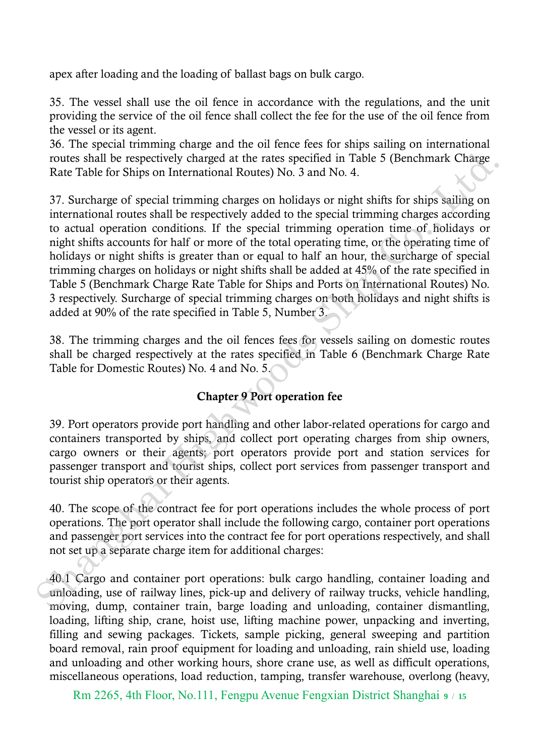apex after loading and the loading of ballast bags on bulk cargo.

35. The vessel shall use the oil fence in accordance with the regulations, and the unit providing the service of the oil fence shall collect the fee for the use of the oil fence from the vessel or its agent.

36. The special trimming charge and the oil fence fees for ships sailing on international routes shall be respectively charged at the rates specified in Table 5 (Benchmark Charge Rate Table for Ships on International Routes) No. 3 and No. 4.

37. Surcharge of special trimming charges on holidays or night shifts for ships sailing on international routes shall be respectively added to the special trimming charges according to actual operation conditions. If the special trimming operation time of holidays or night shifts accounts for half or more of the total operating time, or the operating time of holidays or night shifts is greater than or equal to half an hour, the surcharge of special trimming charges on holidays or night shifts shall be added at 45% of the rate specified in Table 5 (Benchmark Charge Rate Table for Ships and Ports on International Routes) No. 3 respectively. Surcharge of special trimming charges on both holidays and night shifts is added at 90% of the rate specified in Table 5, Number 3. routes shall be respectively charged at the rates specified in Table 5 (Benchmark Charge<br>Rate Table for Ships on International Routes) No. 3 and No. 4.<br>
To Struchage of special timining charges on holidays or night shifts

38. The trimming charges and the oil fences fees for vessels sailing on domestic routes shall be charged respectively at the rates specified in Table 6 (Benchmark Charge Rate Table for Domestic Routes) No. 4 and No. 5.

#### Chapter 9 Port operation fee

39. Port operators provide port handling and other labor-related operations for cargo and containers transported by ships, and collect port operating charges from ship owners, cargo owners or their agents; port operators provide port and station services for passenger transport and tourist ships, collect port services from passenger transport and tourist ship operators or their agents.

40. The scope of the contract fee for port operations includes the whole process of port operations. The port operator shall include the following cargo, container port operations and passenger port services into the contract fee for port operations respectively, and shall not set up a separate charge item for additional charges:

40.1 Cargo and container port operations: bulk cargo handling, container loading and unloading, use of railway lines, pick-up and delivery of railway trucks, vehicle handling, moving, dump, container train, barge loading and unloading, container dismantling, loading, lifting ship, crane, hoist use, lifting machine power, unpacking and inverting, filling and sewing packages. Tickets, sample picking, general sweeping and partition board removal, rain proof equipment for loading and unloading, rain shield use, loading and unloading and other working hours, shore crane use, as well as difficult operations, miscellaneous operations, load reduction, tamping, transfer warehouse, overlong (heavy,

Rm 2265, 4th Floor, No.111, Fengpu Avenue Fengxian District Shanghai **<sup>9</sup>** / **<sup>15</sup>**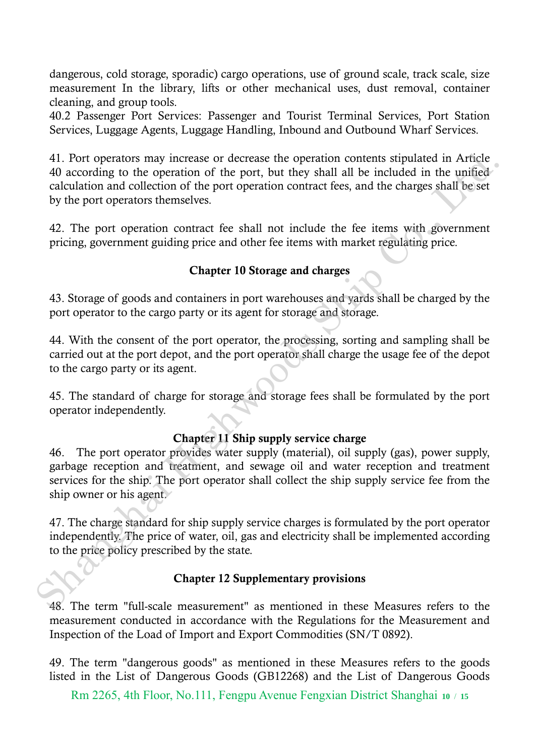dangerous, cold storage, sporadic) cargo operations, use of ground scale, track scale, size measurement In the library, lifts or other mechanical uses, dust removal, container cleaning, and group tools.

40.2 Passenger Port Services: Passenger and Tourist Terminal Services, Port Station Services, Luggage Agents, Luggage Handling, Inbound and Outbound Wharf Services.

41. Port operators may increase or decrease the operation contents stipulated in Article 40 according to the operation of the port, but they shall all be included in the unified calculation and collection of the port operation contract fees, and the charges shall be set by the port operators themselves. 41. Por to perators may increase or decrease the operation contents stipulated in Article<br>deacracing to the operation of the port, but they shall all be included in the unified-<br>calculation and collection of the port oper

42. The port operation contract fee shall not include the fee items with government pricing, government guiding price and other fee items with market regulating price.

### Chapter 10 Storage and charges

43. Storage of goods and containers in port warehouses and yards shall be charged by the port operator to the cargo party or its agent for storage and storage.

44. With the consent of the port operator, the processing, sorting and sampling shall be carried out at the port depot, and the port operator shall charge the usage fee of the depot to the cargo party or its agent.

45. The standard of charge for storage and storage fees shall be formulated by the port operator independently.

## Chapter 11 Ship supply service charge

46. The port operator provides water supply (material), oil supply (gas), power supply, garbage reception and treatment, and sewage oil and water reception and treatment services for the ship. The port operator shall collect the ship supply service fee from the ship owner or his agent.

47. The charge standard for ship supply service charges is formulated by the port operator independently. The price of water, oil, gas and electricity shall be implemented according to the price policy prescribed by the state.

## Chapter 12 Supplementary provisions

48. The term "full-scale measurement" as mentioned in these Measures refers to the measurement conducted in accordance with the Regulations for the Measurement and Inspection of the Load of Import and Export Commodities (SN/T 0892).

49. The term "dangerous goods" as mentioned in these Measures refers to the goods listed in the List of Dangerous Goods (GB12268) and the List of Dangerous Goods

Rm 2265, 4th Floor, No.111, Fengpu Avenue Fengxian District Shanghai **<sup>10</sup>** / **<sup>15</sup>**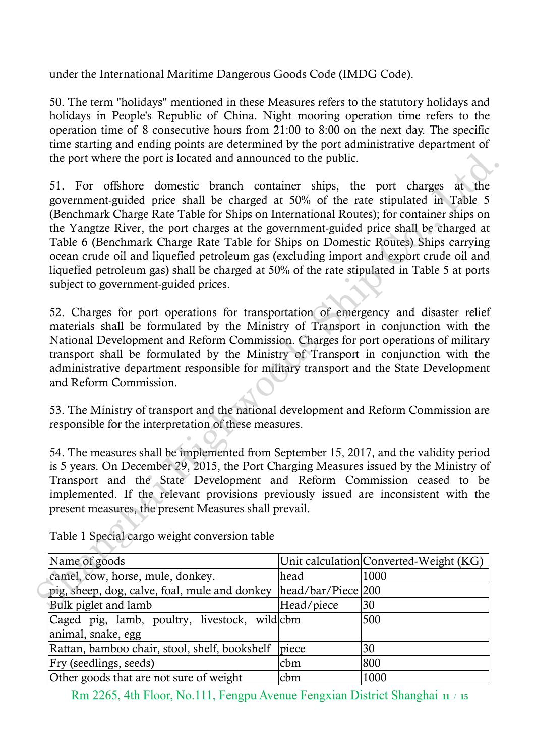under the International Maritime Dangerous Goods Code (IMDG Code).

50. The term "holidays" mentioned in these Measures refers to the statutory holidays and holidays in People's Republic of China. Night mooring operation time refers to the operation time of 8 consecutive hours from 21:00 to 8:00 on the next day. The specific time starting and ending points are determined by the port administrative department of the port where the port is located and announced to the public.

51. For offshore domestic branch container ships, the port charges at the government-guided price shall be charged at 50% of the rate stipulated in Table 5 (Benchmark Charge Rate Table for Ships on International Routes); for container ships on the Yangtze River, the port charges at the government-guided price shall be charged at Table 6 (Benchmark Charge Rate Table for Ships on Domestic Routes) Ships carrying ocean crude oil and liquefied petroleum gas (excluding import and export crude oil and liquefied petroleum gas) shall be charged at 50% of the rate stipulated in Table 5 at ports subject to government-guided prices. the port where the port is located and announced to the public.<br>
51. For offshore domestic branch container ships, the port charges at the<br>
government-guided price shall be charged at 50% of the rate stipulated in Table 5

52. Charges for port operations for transportation of emergency and disaster relief materials shall be formulated by the Ministry of Transport in conjunction with the National Development and Reform Commission. Charges for port operations of military transport shall be formulated by the Ministry of Transport in conjunction with the administrative department responsible for military transport and the State Development and Reform Commission.

53. The Ministry of transport and the national development and Reform Commission are responsible for the interpretation of these measures.

54. The measures shall be implemented from September 15, 2017, and the validity period is 5 years. On December 29, 2015, the Port Charging Measures issued by the Ministry of Transport and the State Development and Reform Commission ceased to be implemented. If the relevant provisions previously issued are inconsistent with the present measures, the present Measures shall prevail.

| Name of goods                                                     |            | Unit calculation Converted-Weight (KG) |
|-------------------------------------------------------------------|------------|----------------------------------------|
| camel, cow, horse, mule, donkey.                                  | head       | 1000                                   |
| pig, sheep, dog, calve, foal, mule and donkey  head/bar/Piece 200 |            |                                        |
| Bulk piglet and lamb                                              | Head/piece | 30                                     |
| Caged pig, lamb, poultry, livestock, wild cbm                     |            | 500                                    |
| animal, snake, egg                                                |            |                                        |
| Rattan, bamboo chair, stool, shelf, bookshelf                     | piece      | 30                                     |
| Fry (seedlings, seeds)                                            | cbm        | 800                                    |
| Other goods that are not sure of weight                           | cbm        | 1000                                   |

Table 1 Special cargo weight conversion table

Rm 2265, 4th Floor, No.111, Fengpu Avenue Fengxian District Shanghai **<sup>11</sup>** / **<sup>15</sup>**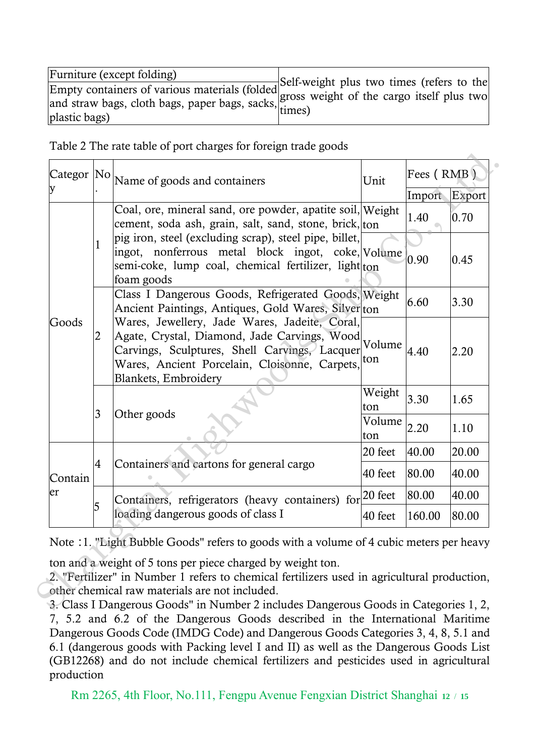| Furniture (except folding)                                                                                              |  |
|-------------------------------------------------------------------------------------------------------------------------|--|
| Empty containers of various materials (folded<br>and straw bags, cloth bags, paper bags, sacks, times)<br>plastic bags) |  |

Table 2 The rate table of port charges for foreign trade goods

|         |                | Categor $ No $ Name of goods and containers<br>Unit                                                                                                                                                                     |               | Fees (RMB) |        |
|---------|----------------|-------------------------------------------------------------------------------------------------------------------------------------------------------------------------------------------------------------------------|---------------|------------|--------|
|         |                |                                                                                                                                                                                                                         |               | Import     | Export |
|         |                | Coal, ore, mineral sand, ore powder, apatite soil, Weight<br>cement, soda ash, grain, salt, sand, stone, brick, ton                                                                                                     |               | 1.40       | 0.70   |
|         | 1              | pig iron, steel (excluding scrap), steel pipe, billet,<br>ingot, nonferrous metal block ingot, coke, Volume<br>semi-coke, lump coal, chemical fertilizer, light ton<br>foam goods                                       |               | 0.90       | 0.45   |
|         |                | Class I Dangerous Goods, Refrigerated Goods, Weight<br>Ancient Paintings, Antiques, Gold Wares, Silver ton                                                                                                              |               | 6.60       | 3.30   |
| Goods   | 2<br>3         | Wares, Jewellery, Jade Wares, Jadeite, Coral,<br>Agate, Crystal, Diamond, Jade Carvings, Wood<br>Carvings, Sculptures, Shell Carvings, Lacquer<br>Wares, Ancient Porcelain, Cloisonne, Carpets,<br>Blankets, Embroidery | Volume<br>ton | 4.40       | 2.20   |
|         |                | Other goods                                                                                                                                                                                                             | Weight<br>ton | 3.30       | 1.65   |
|         |                |                                                                                                                                                                                                                         | Volume<br>ton | 2.20       | 1.10   |
|         |                |                                                                                                                                                                                                                         | 20 feet       | 40.00      | 20.00  |
| Contain | $\overline{4}$ | Containers and cartons for general cargo                                                                                                                                                                                | 40 feet       | 80.00      | 40.00  |
| er      |                | Containers, refrigerators (heavy containers) for 20 feet                                                                                                                                                                |               | 80.00      | 40.00  |
|         | 5              | loading dangerous goods of class I                                                                                                                                                                                      | 40 feet       | 160.00     | 80.00  |
|         |                | Note :1. "Light Bubble Goods" refers to goods with a volume of 4 cubic meters per heavy                                                                                                                                 |               |            |        |
|         |                | ton and a weight of 5 tons per piece charged by weight ton.<br>2. "Fertilizer" in Number 1 refers to chemical fertilizers used in agricultural production,<br>other chemical raw materials are not included.            |               |            |        |

3. Class I Dangerous Goods" in Number 2 includes Dangerous Goods in Categories 1, 2, 7, 5.2 and 6.2 of the Dangerous Goods described in the International Maritime Dangerous Goods Code (IMDG Code) and Dangerous Goods Categories 3, 4, 8, 5.1 and 6.1 (dangerous goods with Packing level I and II) as well as the Dangerous Goods List (GB12268) and do not include chemical fertilizers and pesticides used in agricultural production

Rm 2265, 4th Floor, No.111, Fengpu Avenue Fengxian District Shanghai **<sup>12</sup>** / **<sup>15</sup>**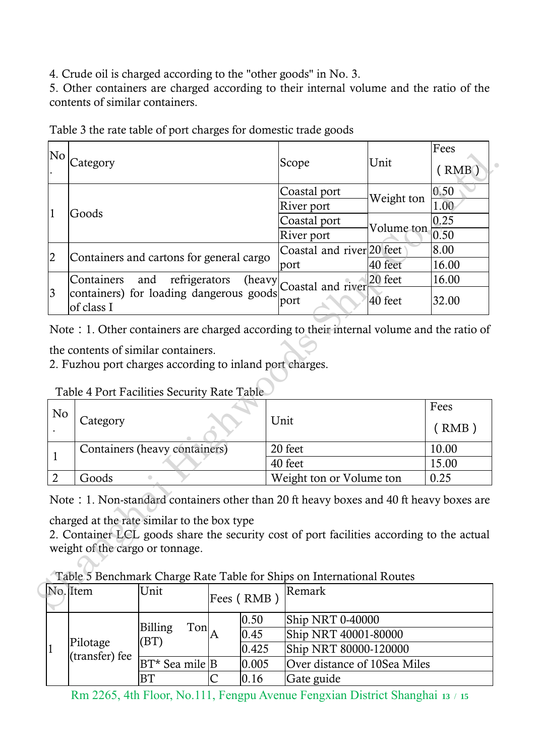4. Crude oil is charged according to the "other goods" in No. 3.

5. Other containers are charged according to their internal volume and the ratio of the contents of similar containers.

| No                                                                                                                                     |                                                         |                                          |            |                                  |            | Fees          |
|----------------------------------------------------------------------------------------------------------------------------------------|---------------------------------------------------------|------------------------------------------|------------|----------------------------------|------------|---------------|
|                                                                                                                                        | Category                                                |                                          |            | Scope                            | Unit       | (RMB)         |
|                                                                                                                                        |                                                         |                                          |            | Coastal port                     |            | 0.50          |
|                                                                                                                                        |                                                         |                                          |            | River port                       | Weight ton | 1.00          |
| 1                                                                                                                                      | Goods                                                   |                                          |            | Coastal port                     | Volume ton | 0.25          |
|                                                                                                                                        |                                                         |                                          |            | River port                       |            | 0.50          |
| $\overline{2}$                                                                                                                         |                                                         | Containers and cartons for general cargo |            | Coastal and river 20 feet        |            | 8.00          |
|                                                                                                                                        |                                                         |                                          |            | port                             | 40 feet    | 16.00         |
|                                                                                                                                        | Containers                                              | refrigerators<br>and                     | (heavy     | Coastal and river                | 20 feet    | 16.00         |
| 3                                                                                                                                      | containers) for loading dangerous goods<br>of class I   |                                          |            | port                             | 40 feet    | 32.00         |
| No                                                                                                                                     | Table 4 Port Facilities Security Rate Table<br>Category |                                          |            | Unit                             |            | Fees<br>(RMB) |
|                                                                                                                                        |                                                         |                                          |            |                                  |            |               |
| 1                                                                                                                                      |                                                         | Containers (heavy containers)            |            | 20 feet                          | 10.00      |               |
|                                                                                                                                        |                                                         |                                          |            | 40 feet                          | 15.00      |               |
| $\overline{2}$                                                                                                                         | Goods                                                   |                                          |            | 0.25<br>Weight ton or Volume ton |            |               |
| Note: 1. Non-standard containers other than 20 ft heavy boxes and 40 ft heavy boxes are<br>charged at the rate similar to the box type |                                                         |                                          |            |                                  |            |               |
| 2. Container LCL goods share the security cost of port facilities according to the actual                                              |                                                         |                                          |            |                                  |            |               |
| weight of the cargo or tonnage.                                                                                                        |                                                         |                                          |            |                                  |            |               |
| Table 5 Benchmark Charge Rate Table for Ships on International Routes                                                                  |                                                         |                                          |            |                                  |            |               |
|                                                                                                                                        | No. Item                                                | Unit                                     |            | Remark                           |            |               |
|                                                                                                                                        |                                                         |                                          | Fees (RMB) |                                  |            |               |

Table 3 the rate table of port charges for domestic trade goods

| No |                               |                          | Fees  |
|----|-------------------------------|--------------------------|-------|
|    | Category                      | Unit                     | ( RMB |
|    | Containers (heavy containers) | 20 feet                  | 10.00 |
|    |                               | 40 feet                  | 15.00 |
|    | Goods                         | Weight ton or Volume ton | 0.25  |

Table 4 Port Facilities Security Rate Table

Table 5 Benchmark Charge Rate Table for Ships on International Routes

|  |  | No. Item       | Unit                    |                       |           | Remark                       |
|--|--|----------------|-------------------------|-----------------------|-----------|------------------------------|
|  |  |                |                         |                       | Fees (RMB |                              |
|  |  |                |                         |                       |           |                              |
|  |  |                |                         |                       | 0.50      | Ship NRT 0-40000             |
|  |  |                | Billing<br>$\text{Ton}$ |                       |           |                              |
|  |  |                |                         |                       | 0.45      | Ship NRT 40001-80000         |
|  |  | Pilotage       | (BT)<br>0.425           | Ship NRT 80000-120000 |           |                              |
|  |  | (transfer) fee |                         |                       |           |                              |
|  |  |                | $BT*$ Sea mile B        |                       | 0.005     | Over distance of 10Sea Miles |
|  |  |                | <b>BT</b>               |                       | 0.16      | Gate guide                   |

Rm 2265, 4th Floor, No.111, Fengpu Avenue Fengxian District Shanghai **<sup>13</sup>** / **<sup>15</sup>**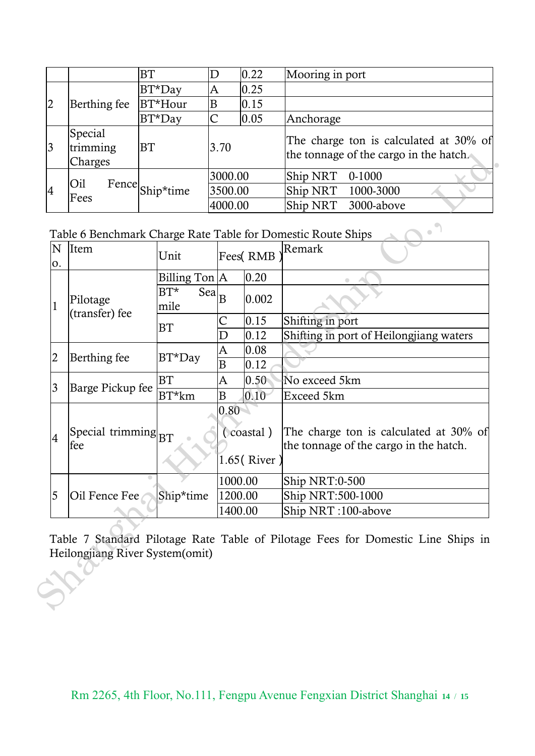|                |                                | <b>BT</b>              |         | 0.22 | Mooring in port                                                                  |
|----------------|--------------------------------|------------------------|---------|------|----------------------------------------------------------------------------------|
|                |                                | $BT^*$ Day             | A       | 0.25 |                                                                                  |
| $\overline{2}$ | Berthing fee                   | BT*Hour                | B       | 0.15 |                                                                                  |
|                |                                | $BT^*$ Day             | C       | 0.05 | Anchorage                                                                        |
| 3              | Special<br>trimming<br>Charges | <b>BT</b>              | 3.70    |      | The charge ton is calculated at 30% of<br>the tonnage of the cargo in the hatch. |
|                |                                | Oil<br>Fence Ship*time | 3000.00 |      | Ship NRT<br>$0-1000$                                                             |
| 4              | Fees                           |                        | 3500.00 |      | Ship NRT<br>1000-3000                                                            |
|                |                                |                        | 4000.00 |      | Ship NRT<br>3000-above                                                           |

Table 6 Benchmark Charge Rate Table for Domestic Route Ships

|                | Charges                                                   |                |                               |                                  |          | the tonnage of the cargo in the hatch.                                           |  |
|----------------|-----------------------------------------------------------|----------------|-------------------------------|----------------------------------|----------|----------------------------------------------------------------------------------|--|
|                |                                                           |                |                               | 3000.00                          |          | Ship NRT<br>$0 - 1000$                                                           |  |
| $\overline{4}$ | Oil<br>Fence                                              | Ship*time      |                               | 3500.00                          |          | Ship NRT<br>1000-3000                                                            |  |
|                | Fees                                                      |                |                               | 4000.00                          |          | Ship NRT<br>3000-above                                                           |  |
|                |                                                           |                |                               |                                  |          | Table 6 Benchmark Charge Rate Table for Domestic Route Ships<br>$\bullet$        |  |
| N<br>0.        | Item                                                      | Unit           |                               |                                  | Fees(RMB | Remark                                                                           |  |
|                |                                                           | Billing Ton A  |                               |                                  | 0.20     |                                                                                  |  |
| $\mathbf 1$    | Pilotage                                                  | $BT^*$<br>mile | $\overline{Sea}$ <sub>B</sub> |                                  | 0.002    |                                                                                  |  |
|                | (transfer) fee                                            | <b>BT</b>      | С                             |                                  | 0.15     | Shifting in port                                                                 |  |
|                |                                                           |                | D                             |                                  | 0.12     | Shifting in port of Heilongjiang waters                                          |  |
| $\overline{2}$ | Berthing fee                                              | $BT^*$ Day     |                               | A                                | 0.08     |                                                                                  |  |
|                |                                                           |                | B                             |                                  | 0.12     |                                                                                  |  |
| 3              | Barge Pickup fee                                          | <b>BT</b>      |                               | A<br>0.50 <sub>1</sub>           |          | No exceed 5km                                                                    |  |
|                |                                                           | $BT*km$        | $\overline{B}$                |                                  | 0.10     | Exceed 5km                                                                       |  |
| 4              | $\left \text{Special trimming}\right _{\text{BT}}$<br>fee |                |                               | 0.80<br>(coastal)<br>1.65(River) |          | The charge ton is calculated at 30% of<br>the tonnage of the cargo in the hatch. |  |
|                |                                                           |                |                               | 1000.00                          |          | Ship NRT:0-500                                                                   |  |
| 5              | Oil Fence Fee                                             | Ship*time      |                               | 1200.00                          |          | Ship NRT:500-1000                                                                |  |
|                |                                                           |                |                               | 1400.00                          |          | Ship NRT:100-above                                                               |  |
|                | Heilongjiang River System(omit)                           |                |                               |                                  |          | Table 7 Standard Pilotage Rate Table of Pilotage Fees for Domestic Line Ships in |  |